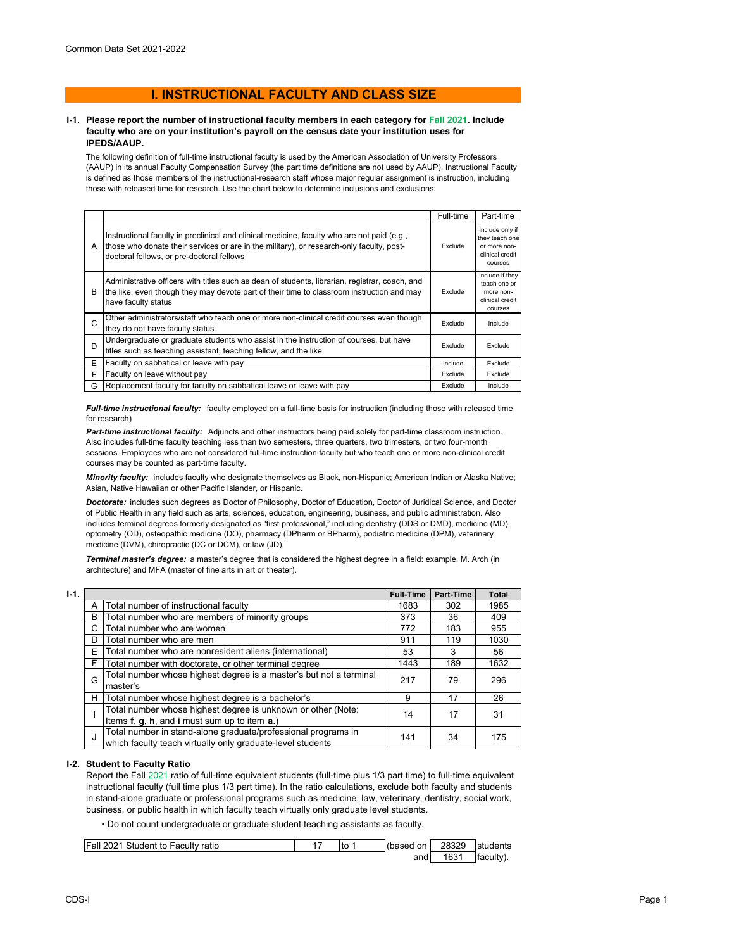# **I. INSTRUCTIONAL FACULTY AND CLASS SIZE**

#### **I-1. Please report the number of instructional faculty members in each category for Fall 2021. Include faculty who are on your institution's payroll on the census date your institution uses for IPEDS/AAUP.**

The following definition of full-time instructional faculty is used by the American Association of University Professors (AAUP) in its annual Faculty Compensation Survey (the part time definitions are not used by AAUP). Instructional Faculty is defined as those members of the instructional-research staff whose major regular assignment is instruction, including those with released time for research. Use the chart below to determine inclusions and exclusions:

|   |                                                                                                                                                                                                                                      | Full-time | Part-time                                                                       |
|---|--------------------------------------------------------------------------------------------------------------------------------------------------------------------------------------------------------------------------------------|-----------|---------------------------------------------------------------------------------|
| A | Instructional faculty in preclinical and clinical medicine, faculty who are not paid (e.g.,<br>those who donate their services or are in the military), or research-only faculty, post-<br>doctoral fellows, or pre-doctoral fellows | Exclude   | Include only if<br>they teach one<br>or more non-<br>clinical credit<br>courses |
| B | Administrative officers with titles such as dean of students, librarian, registrar, coach, and<br>the like, even though they may devote part of their time to classroom instruction and may<br>have faculty status                   | Exclude   | Include if they<br>teach one or<br>more non-<br>clinical credit<br>courses      |
| C | Other administrators/staff who teach one or more non-clinical credit courses even though<br>they do not have faculty status                                                                                                          | Exclude   | Include                                                                         |
| D | Undergraduate or graduate students who assist in the instruction of courses, but have<br>titles such as teaching assistant, teaching fellow, and the like                                                                            | Exclude   | Exclude                                                                         |
| E | Faculty on sabbatical or leave with pay                                                                                                                                                                                              | Include   | Exclude                                                                         |
| F | Faculty on leave without pay                                                                                                                                                                                                         | Exclude   | Exclude                                                                         |
| G | Replacement faculty for faculty on sabbatical leave or leave with pay                                                                                                                                                                | Exclude   | Include                                                                         |

*Full-time instructional faculty:* faculty employed on a full-time basis for instruction (including those with released time for research)

*Part-time instructional faculty:* Adjuncts and other instructors being paid solely for part-time classroom instruction. Also includes full-time faculty teaching less than two semesters, three quarters, two trimesters, or two four-month sessions. Employees who are not considered full-time instruction faculty but who teach one or more non-clinical credit courses may be counted as part-time faculty.

*Minority faculty:* includes faculty who designate themselves as Black, non-Hispanic; American Indian or Alaska Native; Asian, Native Hawaiian or other Pacific Islander, or Hispanic.

*Doctorate:* includes such degrees as Doctor of Philosophy, Doctor of Education, Doctor of Juridical Science, and Doctor of Public Health in any field such as arts, sciences, education, engineering, business, and public administration. Also includes terminal degrees formerly designated as "first professional," including dentistry (DDS or DMD), medicine (MD), optometry (OD), osteopathic medicine (DO), pharmacy (DPharm or BPharm), podiatric medicine (DPM), veterinary medicine (DVM), chiropractic (DC or DCM), or law (JD).

*Terminal master's degree:* a master's degree that is considered the highest degree in a field: example, M. Arch (in architecture) and MFA (master of fine arts in art or theater).

| I-1. |                                                                                                              |                                                                                                                             | <b>Full-Time</b> | Part-Time | Total |
|------|--------------------------------------------------------------------------------------------------------------|-----------------------------------------------------------------------------------------------------------------------------|------------------|-----------|-------|
|      | А                                                                                                            | Total number of instructional faculty                                                                                       | 1683             | 302       | 1985  |
|      | B                                                                                                            | Total number who are members of minority groups                                                                             | 373              | 36        | 409   |
|      | C                                                                                                            | Total number who are women                                                                                                  | 772              | 183       | 955   |
|      | D                                                                                                            | Total number who are men                                                                                                    | 911              | 119       | 1030  |
|      | E                                                                                                            | Total number who are nonresident aliens (international)                                                                     | 53               | 3         | 56    |
|      | F                                                                                                            | Total number with doctorate, or other terminal degree                                                                       | 1443             | 189       | 1632  |
|      | G                                                                                                            | Total number whose highest degree is a master's but not a terminal<br>master's                                              | 217              | 79        | 296   |
|      | н                                                                                                            | Total number whose highest degree is a bachelor's                                                                           | 9                | 17        | 26    |
|      | Total number whose highest degree is unknown or other (Note:<br>Items f, g, h, and i must sum up to item a.) |                                                                                                                             | 14               | 17        | 31    |
|      | J                                                                                                            | Total number in stand-alone graduate/professional programs in<br>which faculty teach virtually only graduate-level students | 141              | 34        | 175   |

### **I-2. Student to Faculty Ratio**

Report the Fall 2021 ratio of full-time equivalent students (full-time plus 1/3 part time) to full-time equivalent instructional faculty (full time plus 1/3 part time). In the ratio calculations, exclude both faculty and students in stand-alone graduate or professional programs such as medicine, law, veterinary, dentistry, social work, business, or public health in which faculty teach virtually only graduate level students.

• Do not count undergraduate or graduate student teaching assistants as faculty.

| Fall 2021 Student to Faculty ratio | Ito | (based on | 28329 | students  |
|------------------------------------|-----|-----------|-------|-----------|
|                                    |     | andl      | 1631  | faculty). |